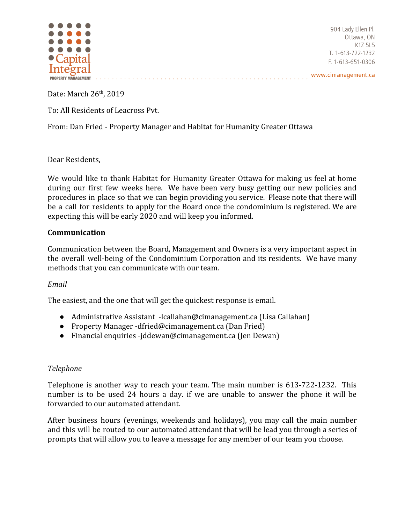

904 Lady Ellen Pl. Ottawa, ON K1Z 5L5 T. 1-613-722-1232 F. 1-613-651-0306

Date: March 26<sup>th</sup>, 2019

To: All Residents of Leacross Pvt.

From: Dan Fried - Property Manager and Habitat for Humanity Greater Ottawa

Dear Residents,

We would like to thank Habitat for Humanity Greater Ottawa for making us feel at home during our first few weeks here. We have been very busy getting our new policies and procedures in place so that we can begin providing you service. Please note that there will be a call for residents to apply for the Board once the condominium is registered. We are expecting this will be early 2020 and will keep you informed.

. . . . . . . . . . . . . . . . . . . . . . . . . . . . . . . . . . . . . . . . . . . . . . . . . . . . .

#### **Communication**

Communication between the Board, Management and Owners is a very important aspect in the overall well-being of the Condominium Corporation and its residents. We have many methods that you can communicate with our team.

# *Email*

The easiest, and the one that will get the quickest response is email.

- Administrative Assistant -lcallahan@cimanagement.ca (Lisa Callahan)
- Property Manager -dfried@cimanagement.ca (Dan Fried)
- Financial enquiries -jddewan@cimanagement.ca (Jen Dewan)

# *Telephone*

Telephone is another way to reach your team. The main number is 613-722-1232. This number is to be used 24 hours a day. if we are unable to answer the phone it will be forwarded to our automated attendant.

After business hours (evenings, weekends and holidays), you may call the main number and this will be routed to our automated attendant that will be lead you through a series of prompts that will allow you to leave a message for any member of our team you choose.